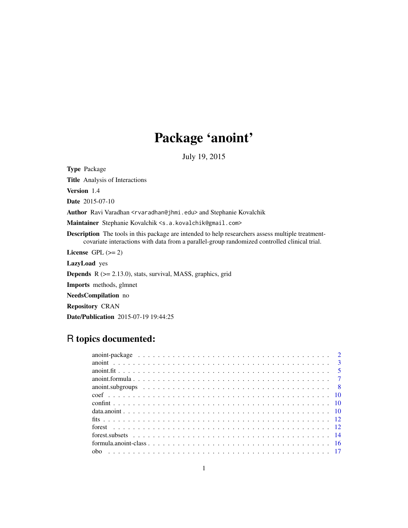# Package 'anoint'

July 19, 2015

<span id="page-0-0"></span>Type Package

Title Analysis of Interactions

Version 1.4

Date 2015-07-10

Author Ravi Varadhan <rvaradhan@jhmi.edu> and Stephanie Kovalchik

Maintainer Stephanie Kovalchik <s.a.kovalchik@gmail.com>

Description The tools in this package are intended to help researchers assess multiple treatmentcovariate interactions with data from a parallel-group randomized controlled clinical trial.

License GPL  $(>= 2)$ 

LazyLoad yes

**Depends**  $R$  ( $>= 2.13.0$ ), stats, survival, MASS, graphics, grid

Imports methods, glmnet

NeedsCompilation no

Repository CRAN

Date/Publication 2015-07-19 19:44:25

# R topics documented: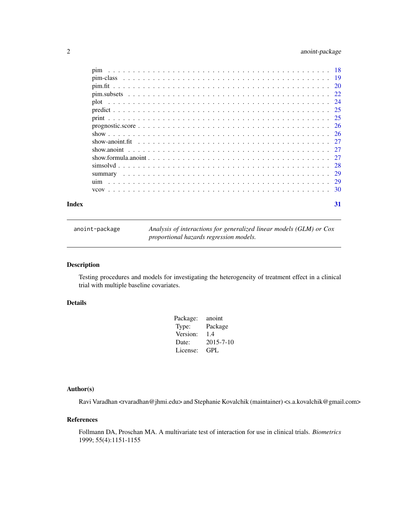# <span id="page-1-0"></span>2 anoint-package

| Index | 31 |
|-------|----|

anoint-package *Analysis of interactions for generalized linear models (GLM) or Cox proportional hazards regression models.*

# Description

Testing procedures and models for investigating the heterogeneity of treatment effect in a clinical trial with multiple baseline covariates.

# Details

| anoint          |
|-----------------|
| Package         |
| 1.4             |
| $2015 - 7 - 10$ |
| GPL             |
|                 |

# Author(s)

Ravi Varadhan <rvaradhan@jhmi.edu> and Stephanie Kovalchik (maintainer) <s.a.kovalchik@gmail.com>

# References

Follmann DA, Proschan MA. A multivariate test of interaction for use in clinical trials. *Biometrics* 1999; 55(4):1151-1155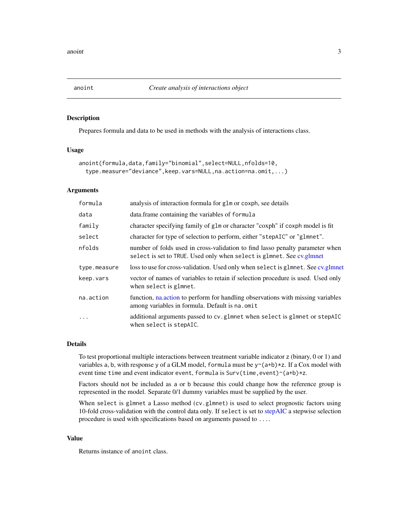<span id="page-2-2"></span><span id="page-2-1"></span><span id="page-2-0"></span>Prepares formula and data to be used in methods with the analysis of interactions class.

# Usage

```
anoint(formula,data,family="binomial",select=NULL,nfolds=10,
  type.measure="deviance",keep.vars=NULL,na.action=na.omit,...)
```
# Arguments

| formula      | analysis of interaction formula for glm or coxph, see details                                                                                          |
|--------------|--------------------------------------------------------------------------------------------------------------------------------------------------------|
| data         | data.frame containing the variables of formula                                                                                                         |
| family       | character specifying family of glm or character "coxph" if coxph model is fit                                                                          |
| select       | character for type of selection to perform, either "stepAIC" or "glmnet".                                                                              |
| nfolds       | number of folds used in cross-validation to find lasso penalty parameter when<br>select is set to TRUE. Used only when select is glmnet. See cv.glmnet |
| type.measure | loss to use for cross-validation. Used only when select is glmnet. See cv.glmnet                                                                       |
| keep.vars    | vector of names of variables to retain if selection procedure is used. Used only<br>when select is glmnet.                                             |
| na.action    | function, na.action to perform for handling observations with missing variables<br>among variables in formula. Default is na. omit                     |
| $\cdots$     | additional arguments passed to cv.glmnet when select is glmnet or stepAIC<br>when select is stepAIC.                                                   |

# Details

To test proportional multiple interactions between treatment variable indicator z (binary, 0 or 1) and variables a, b, with response y of a GLM model, formula must be  $y^2(a+b)*z$ . If a Cox model with event time time and event indicator event, formula is Surv(time, event)~(a+b)\*z.

Factors should not be included as a or b because this could change how the reference group is represented in the model. Separate 0/1 dummy variables must be supplied by the user.

When select is glmnet a Lasso method (cv.glmnet) is used to select prognostic factors using 10-fold cross-validation with the control data only. If select is set to [stepAIC](#page-0-0) a stepwise selection procedure is used with specifications based on arguments passed to ....

#### Value

Returns instance of anoint class.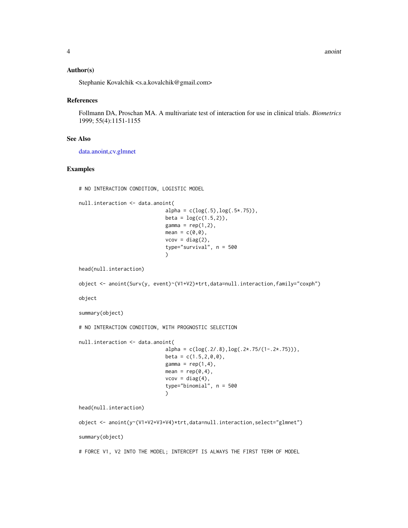#### <span id="page-3-0"></span>Author(s)

Stephanie Kovalchik <s.a.kovalchik@gmail.com>

#### References

Follmann DA, Proschan MA. A multivariate test of interaction for use in clinical trials. *Biometrics* 1999; 55(4):1151-1155

#### See Also

[data.anoint](#page-9-1)[,cv.glmnet](#page-0-0)

# Examples

# NO INTERACTION CONDITION, LOGISTIC MODEL

```
null.interaction <- data.anoint(
                             alpha = c(log(.5), log(.5*.75)),beta = log(c(1.5, 2)),
```

```
gamma = rep(1,2),
mean = c(\emptyset, \emptyset),
vcov = diag(2),
type="survival", n = 500
\mathcal{L}
```
head(null.interaction)

```
object <- anoint(Surv(y, event)~(V1+V2)*trt,data=null.interaction,family="coxph")
```
object

summary(object)

```
# NO INTERACTION CONDITION, WITH PROGNOSTIC SELECTION
```
null.interaction <- data.anoint(

```
alpha = c(log(.2/.8), log(.2*.75/(1-.2*.75))),beta = c(1.5, 2, 0, 0),
gamma = rep(1,4),
mean = rep(0, 4),vcov = diag(4),
type="binomial", n = 500
)
```
head(null.interaction)

```
object <- anoint(y~(V1+V2+V3+V4)*trt,data=null.interaction,select="glmnet")
summary(object)
```
# FORCE V1, V2 INTO THE MODEL; INTERCEPT IS ALWAYS THE FIRST TERM OF MODEL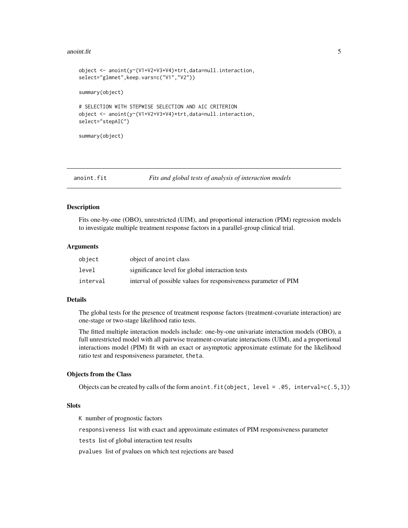#### <span id="page-4-0"></span>anoint.fit  $\frac{5}{5}$

```
object <- anoint(y~(V1+V2+V3+V4)*trt,data=null.interaction,
select="glmnet",keep.vars=c("V1","V2"))
summary(object)
# SELECTION WITH STEPWISE SELECTION AND AIC CRITERION
object <- anoint(y~(V1+V2+V3+V4)*trt,data=null.interaction,
select="stepAIC")
summary(object)
```
anoint.fit *Fits and global tests of analysis of interaction models*

#### Description

Fits one-by-one (OBO), unrestricted (UIM), and proportional interaction (PIM) regression models to investigate multiple treatment response factors in a parallel-group clinical trial.

#### Arguments

| object   | object of anoint class                                          |
|----------|-----------------------------------------------------------------|
| level    | significance level for global interaction tests                 |
| interval | interval of possible values for responsiveness parameter of PIM |

#### Details

The global tests for the presence of treatment response factors (treatment-covariate interaction) are one-stage or two-stage likelihood ratio tests.

The fitted multiple interaction models include: one-by-one univariate interaction models (OBO), a full unrestricted model with all pairwise treatment-covariate interactions (UIM), and a proportional interactions model (PIM) fit with an exact or asymptotic approximate estimate for the likelihood ratio test and responsiveness parameter, theta.

#### Objects from the Class

Objects can be created by calls of the form anoint.  $fit(object, level = .05, interval=c(.5,3))$ 

# Slots

K number of prognostic factors

responsiveness list with exact and approximate estimates of PIM responsiveness parameter

tests list of global interaction test results

pvalues list of pvalues on which test rejections are based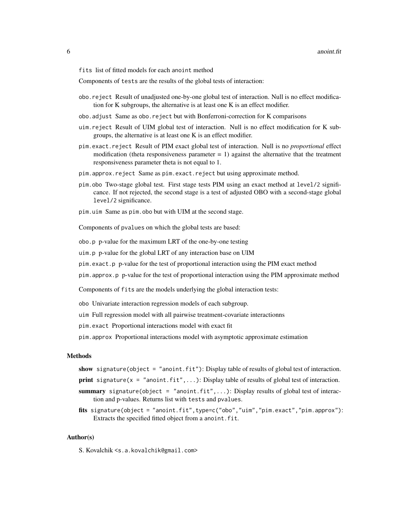fits list of fitted models for each anoint method

Components of tests are the results of the global tests of interaction:

- obo.reject Result of unadjusted one-by-one global test of interaction. Null is no effect modification for K subgroups, the alternative is at least one K is an effect modifier.
- obo.adjust Same as obo.reject but with Bonferroni-correction for K comparisons
- uim.reject Result of UIM global test of interaction. Null is no effect modification for K subgroups, the alternative is at least one K is an effect modifier.
- pim.exact.reject Result of PIM exact global test of interaction. Null is no *proportional* effect modification (theta responsiveness parameter  $= 1$ ) against the alternative that the treatment responsiveness parameter theta is not equal to 1.
- pim.approx.reject Same as pim.exact.reject but using approximate method.
- pim.obo Two-stage global test. First stage tests PIM using an exact method at level/2 significance. If not rejected, the second stage is a test of adjusted OBO with a second-stage global level/2 significance.
- pim.uim Same as pim.obo but with UIM at the second stage.

Components of pvalues on which the global tests are based:

obo.p p-value for the maximum LRT of the one-by-one testing

uim.p p-value for the global LRT of any interaction base on UIM

pim.exact.p p-value for the test of proportional interaction using the PIM exact method

pim.approx.p p-value for the test of proportional interaction using the PIM approximate method

Components of fits are the models underlying the global interaction tests:

- obo Univariate interaction regression models of each subgroup.
- uim Full regression model with all pairwise treatment-covariate interactionns
- pim.exact Proportional interactions model with exact fit
- pim.approx Proportional interactions model with asymptotic approximate estimation

# Methods

- show signature(object = "anoint.fit"): Display table of results of global test of interaction.
- **print** signature( $x = "anoint.fit", \ldots$ ): Display table of results of global test of interaction.
- summary signature(object = "anoint.fit",...): Display results of global test of interaction and p-values. Returns list with tests and pvalues.
- fits signature(object = "anoint.fit",type=c("obo","uim","pim.exact","pim.approx"): Extracts the specified fitted object from a anoint.fit.

#### Author(s)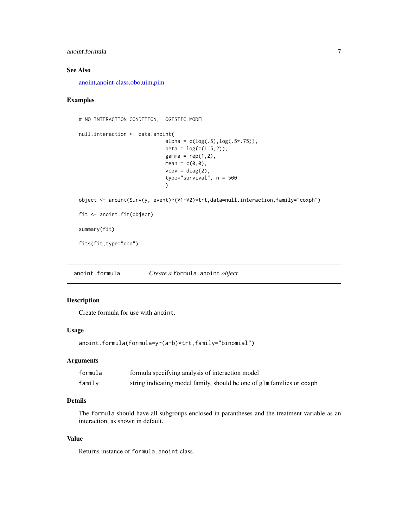# <span id="page-6-0"></span>anoint.formula 7

# See Also

[anoint,](#page-2-1)[anoint-class](#page-2-2)[,obo](#page-16-1)[,uim](#page-28-1)[,pim](#page-17-1)

# Examples

# NO INTERACTION CONDITION, LOGISTIC MODEL

```
null.interaction <- data.anoint(
                             alpha = c(log(.5), log(.5*.75)),beta = log(c(1.5, 2)),gamma = rep(1,2),
                             mean = c(0,0),
                             vcov = diag(2),
                             type="survival", n = 500
                             )
object <- anoint(Surv(y, event)~(V1+V2)*trt,data=null.interaction,family="coxph")
fit <- anoint.fit(object)
```
summary(fit)

fits(fit,type="obo")

anoint.formula *Create a* formula.anoint *object*

# Description

Create formula for use with anoint.

# Usage

```
anoint.formula(formula=y~(a+b)*trt,family="binomial")
```
#### Arguments

| formula | formula specifying analysis of interaction model                       |
|---------|------------------------------------------------------------------------|
| family  | string indicating model family, should be one of glm families or coxph |

# Details

The formula should have all subgroups enclosed in parantheses and the treatment variable as an interaction, as shown in default.

# Value

Returns instance of formula.anoint class.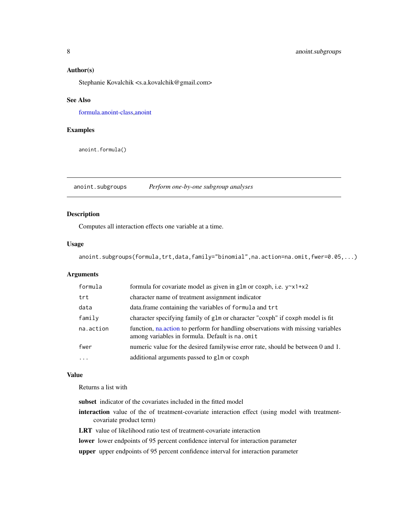#### <span id="page-7-0"></span>Author(s)

Stephanie Kovalchik <s.a.kovalchik@gmail.com>

#### See Also

[formula.anoint-class](#page-15-1)[,anoint](#page-2-1)

# Examples

anoint.formula()

anoint.subgroups *Perform one-by-one subgroup analyses*

#### Description

Computes all interaction effects one variable at a time.

#### Usage

anoint.subgroups(formula,trt,data,family="binomial",na.action=na.omit,fwer=0.05,...)

# Arguments

| formula   | formula for covariate model as given in glm or coxph, i.e. $y^2 \times 1 + x^2$                                                  |
|-----------|----------------------------------------------------------------------------------------------------------------------------------|
| trt       | character name of treatment assignment indicator                                                                                 |
| data      | data. frame containing the variables of formula and trt                                                                          |
| family    | character specifying family of glm or character "coxph" if coxph model is fit                                                    |
| na.action | function, natively to perform for handling observations with missing variables<br>among variables in formula. Default is na.omit |
| fwer      | numeric value for the desired familywise error rate, should be between 0 and 1.                                                  |
| $\cdots$  | additional arguments passed to glm or coxph                                                                                      |

#### Value

Returns a list with

subset indicator of the covariates included in the fitted model

- interaction value of the of treatment-covariate interaction effect (using model with treatmentcovariate product term)
- LRT value of likelihood ratio test of treatment-covariate interaction

lower lower endpoints of 95 percent confidence interval for interaction parameter

upper upper endpoints of 95 percent confidence interval for interaction parameter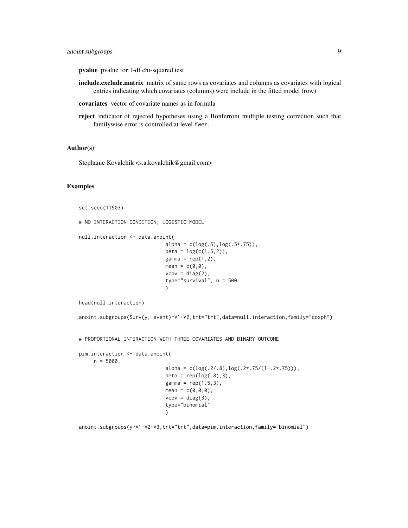# anoint.subgroups 9

pvalue pvalue for 1-df chi-squared test

- include.exclude.matrix matrix of same rows as covariates and columns as covariates with logical entries indicating which covariates (columns) were include in the fitted model (row)
- covariates vector of covariate names as in formula
- reject indicator of rejected hypotheses using a Bonferroni multiple testing correction such that familywise error is controlled at level fwer.

#### Author(s)

Stephanie Kovalchik <s.a.kovalchik@gmail.com>

# Examples

```
set.seed(11903)
```

```
# NO INTERACTION CONDITION, LOGISTIC MODEL
```

```
null.interaction <- data.anoint(
                             alpha = c(log(.5), log(.5*.75)),beta = log(c(1.5, 2)),gamma = rep(1,2),
                             mean = c(0,0),
                             vcov = diag(2),
                             type="survival", n = 500
```
)

head(null.interaction)

```
anoint.subgroups(Surv(y, event)~V1+V2,trt="trt",data=null.interaction,family="coxph")
```
# PROPORTIONAL INTERACTION WITH THREE COVARIATES AND BINARY OUTCOME

```
pim.interaction <- data.anoint(
     n = 5000.
                                  alpha = c(log(.2/.8), log(.2*.75/(1-.2*.75))),beta = rep(log(.8),3),gamma = rep(1.5,3),
                                  mean = c(\emptyset, \emptyset, \emptyset),
                                  vcov = diag(3),
                                  type="binomial"
                                  \lambda
```
anoint.subgroups(y~V1+V2+V3,trt="trt",data=pim.interaction,family="binomial")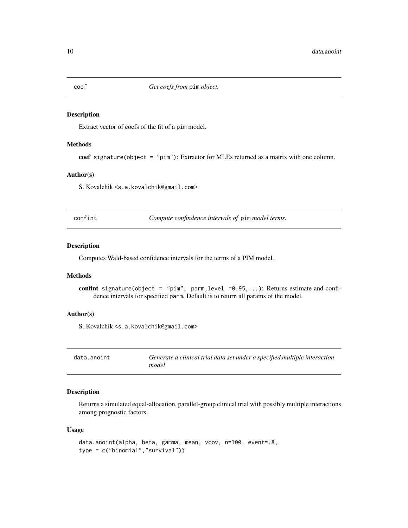Extract vector of coefs of the fit of a pim model.

#### Methods

coef signature(object = "pim"): Extractor for MLEs returned as a matrix with one column.

# Author(s)

S. Kovalchik <s.a.kovalchik@gmail.com>

confint *Compute confindence intervals of* pim *model terms.*

# Description

Computes Wald-based confidence intervals for the terms of a PIM model.

#### Methods

confint signature(object = "pim", parm, level =0.95,...): Returns estimate and confidence intervals for specified parm. Default is to return all params of the model.

#### Author(s)

S. Kovalchik <s.a.kovalchik@gmail.com>

<span id="page-9-1"></span>

| data.anoint | Generate a clinical trial data set under a specified multiple interaction |
|-------------|---------------------------------------------------------------------------|
|             | model                                                                     |

# Description

Returns a simulated equal-allocation, parallel-group clinical trial with possibly multiple interactions among prognostic factors.

#### Usage

```
data.anoint(alpha, beta, gamma, mean, vcov, n=100, event=.8,
type = c("binomial","survival"))
```
<span id="page-9-0"></span>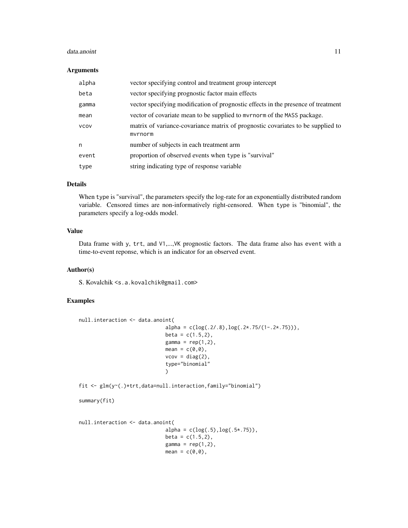#### data.anoint 11

#### Arguments

| alpha       | vector specifying control and treatment group intercept                                    |
|-------------|--------------------------------------------------------------------------------------------|
| beta        | vector specifying prognostic factor main effects                                           |
| gamma       | vector specifying modification of prognostic effects in the presence of treatment          |
| mean        | vector of covariate mean to be supplied to myrnorm of the MASS package.                    |
| <b>VCOV</b> | matrix of variance-covariance matrix of prognostic covariates to be supplied to<br>mvrnorm |
| n           | number of subjects in each treatment arm                                                   |
| event       | proportion of observed events when type is "survival"                                      |
| type        | string indicating type of response variable                                                |

# Details

When type is "survival", the parameters specify the log-rate for an exponentially distributed random variable. Censored times are non-informatively right-censored. When type is "binomial", the parameters specify a log-odds model.

# Value

Data frame with y, trt, and V1,...,VK prognostic factors. The data frame also has event with a time-to-event reponse, which is an indicator for an observed event.

#### Author(s)

S. Kovalchik <s.a.kovalchik@gmail.com>

# Examples

```
null.interaction <- data.anoint(
                              alpha = c(log(.2/.8),log(.2*.75/(1-.2*.75))),
                              beta = c(1.5, 2),
                              gamma = rep(1,2),
                              mean = c(0,0),
                              vcov = diag(2),
                              type="binomial"
                              \mathcal{L}fit <- glm(y~(.)*trt,data=null.interaction,family="binomial")
summary(fit)
null.interaction <- data.anoint(
                              alpha = c(log(.5), log(.5*.75)),beta = c(1.5, 2),
                              gamma = rep(1,2),
                              mean = c(0,0),
```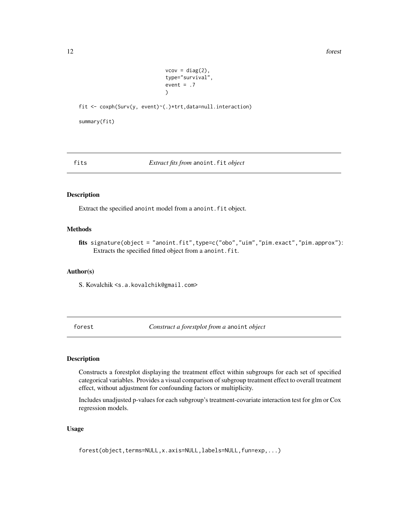<span id="page-11-0"></span>12 forest

```
vcov = diag(2),
type="survival",
event = .7\lambda
```
fit <- coxph(Surv(y, event)~(.)\*trt,data=null.interaction)

summary(fit)

fits *Extract fits from* anoint.fit *object*

# Description

Extract the specified anoint model from a anoint.fit object.

# Methods

fits signature(object = "anoint.fit",type=c("obo","uim","pim.exact","pim.approx"): Extracts the specified fitted object from a anoint.fit.

# Author(s)

S. Kovalchik <s.a.kovalchik@gmail.com>

forest *Construct a forestplot from a* anoint *object*

# Description

Constructs a forestplot displaying the treatment effect within subgroups for each set of specified categorical variables. Provides a visual comparison of subgroup treatment effect to overall treatment effect, without adjustment for confounding factors or multiplicity.

Includes unadjusted p-values for each subgroup's treatment-covariate interaction test for glm or Cox regression models.

#### Usage

forest(object,terms=NULL,x.axis=NULL,labels=NULL,fun=exp,...)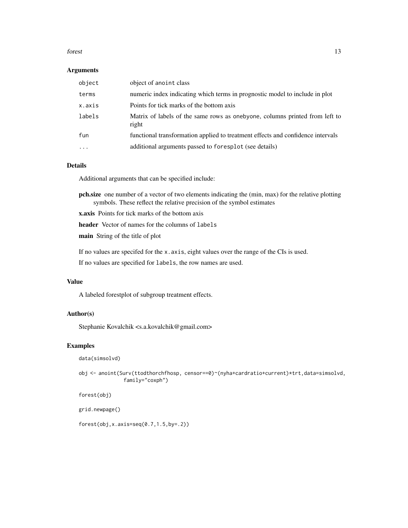#### forest that the contract of the contract of the contract of the contract of the contract of the contract of the contract of the contract of the contract of the contract of the contract of the contract of the contract of th

#### Arguments

| object    | object of anoint class                                                               |
|-----------|--------------------------------------------------------------------------------------|
| terms     | numeric index indicating which terms in prognostic model to include in plot          |
| x.axis    | Points for tick marks of the bottom axis                                             |
| labels    | Matrix of labels of the same rows as onebyone, columns printed from left to<br>right |
| fun       | functional transformation applied to treatment effects and confidence intervals      |
| $\ddotsc$ | additional arguments passed to foresplot (see details)                               |

# Details

Additional arguments that can be specified include:

- pch.size one number of a vector of two elements indicating the (min, max) for the relative plotting symbols. These reflect the relative precision of the symbol estimates
- x.axis Points for tick marks of the bottom axis
- header Vector of names for the columns of labels

main String of the title of plot

If no values are specifed for the x.axis, eight values over the range of the CIs is used.

If no values are specified for labels, the row names are used.

# Value

A labeled forestplot of subgroup treatment effects.

# Author(s)

Stephanie Kovalchik <s.a.kovalchik@gmail.com>

#### Examples

```
data(simsolvd)
```
obj <- anoint(Surv(ttodthorchfhosp, censor==0)~(nyha+cardratio+current)\*trt,data=simsolvd, family="coxph")

forest(obj)

grid.newpage()

forest(obj,x.axis=seq(0.7,1.5,by=.2))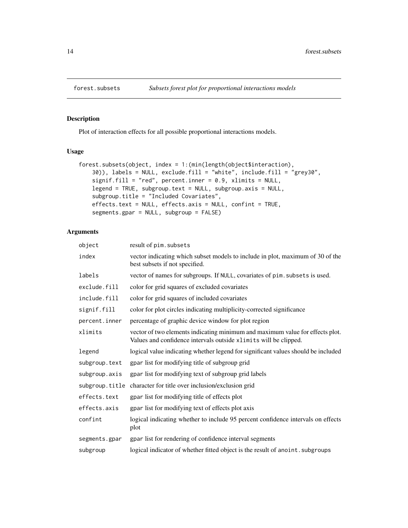<span id="page-13-0"></span>

Plot of interaction effects for all possible proportional interactions models.

#### Usage

```
forest.subsets(object, index = 1:(min(length(object$interaction),
   30)), labels = NULL, exclude.fill = "white", include.fill = "grey30",
   signif.fill = "red", percent.inner = 0.9, xlimits = NULL,
   legend = TRUE, subgroup.text = NULL, subgroup.axis = NULL,
   subgroup.title = "Included Covariates",
   effects.text = NULL, effects.axis = NULL, confint = TRUE,
   segments.gpar = NULL, subgroup = FALSE)
```
# Arguments

| object         | result of pim. subsets                                                                                                                            |
|----------------|---------------------------------------------------------------------------------------------------------------------------------------------------|
| index          | vector indicating which subset models to include in plot, maximum of 30 of the<br>best subsets if not specified.                                  |
| labels         | vector of names for subgroups. If NULL, covariates of pim. subsets is used.                                                                       |
| exclude.fill   | color for grid squares of excluded covariates                                                                                                     |
| include.fill   | color for grid squares of included covariates                                                                                                     |
| signif.fill    | color for plot circles indicating multiplicity-corrected significance                                                                             |
| percent.inner  | percentage of graphic device window for plot region                                                                                               |
| xlimits        | vector of two elements indicating minimum and maximum value for effects plot.<br>Values and confidence intervals outside xlimits will be clipped. |
| legend         | logical value indicating whether legend for significant values should be included                                                                 |
| subgroup.text  | gpar list for modifying title of subgroup grid                                                                                                    |
| subgroup.axis  | gpar list for modifying text of subgroup grid labels                                                                                              |
| subgroup.title | character for title over inclusion/exclusion grid                                                                                                 |
| effects.text   | gpar list for modifying title of effects plot                                                                                                     |
| effects.axis   | gpar list for modifying text of effects plot axis                                                                                                 |
| confint        | logical indicating whether to include 95 percent confidence intervals on effects<br>plot                                                          |
| segments.gpar  | gpar list for rendering of confidence interval segments                                                                                           |
| subgroup       | logical indicator of whether fitted object is the result of anoint. subgroups                                                                     |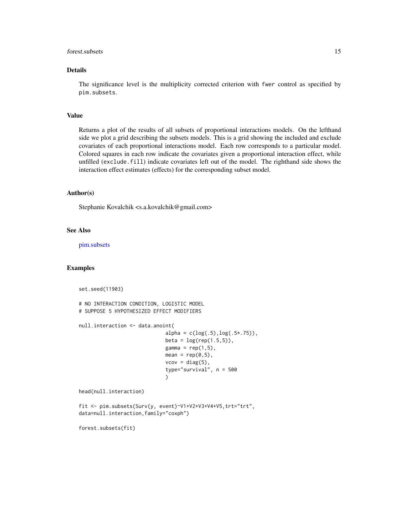#### <span id="page-14-0"></span>forest.subsets 15

# Details

The significance level is the multiplicity corrected criterion with fwer control as specified by pim.subsets.

# Value

Returns a plot of the results of all subsets of proportional interactions models. On the lefthand side we plot a grid describing the subsets models. This is a grid showing the included and exclude covariates of each proportional interactions model. Each row corresponds to a particular model. Colored squares in each row indicate the covariates given a proportional interaction effect, while unfilled (exclude.fill) indicate covariates left out of the model. The righthand side shows the interaction effect estimates (effects) for the corresponding subset model.

#### Author(s)

Stephanie Kovalchik <s.a.kovalchik@gmail.com>

#### See Also

[pim.subsets](#page-21-1)

# Examples

set.seed(11903)

```
# NO INTERACTION CONDITION, LOGISTIC MODEL
# SUPPOSE 5 HYPOTHESIZED EFFECT MODIFIERS
```

```
null.interaction <- data.anoint(
```

```
alpha = c(log(.5), log(.5*.75)),beta = log(rep(1.5, 5)),gamma = rep(1,5),
mean = rep(0,5),
vcov = diag(5),
type="survival", n = 500
)
```
head(null.interaction)

fit <- pim.subsets(Surv(y, event)~V1+V2+V3+V4+V5,trt="trt", data=null.interaction,family="coxph")

forest.subsets(fit)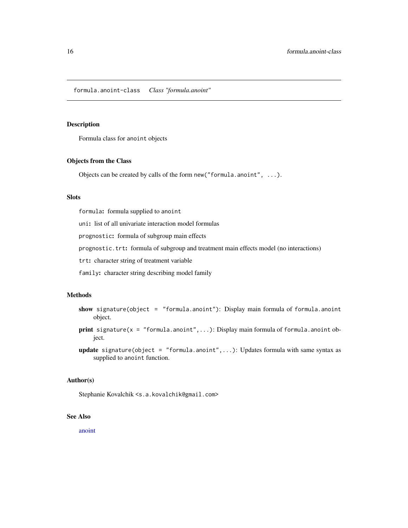<span id="page-15-1"></span><span id="page-15-0"></span>formula.anoint-class *Class "formula.anoint"*

# Description

Formula class for anoint objects

# Objects from the Class

Objects can be created by calls of the form new("formula.anoint", ...).

# Slots

formula: formula supplied to anoint

uni: list of all univariate interaction model formulas

prognostic: formula of subgroup main effects

prognostic.trt: formula of subgroup and treatment main effects model (no interactions)

trt: character string of treatment variable

family: character string describing model family

# Methods

- show signature(object = "formula.anoint"): Display main formula of formula.anoint object.
- print signature( $x = "formula.annotation...):$  Display main formula of formula.anoint object.
- **update** signature(object = "formula.anoint",...): Updates formula with same syntax as supplied to anoint function.

#### Author(s)

Stephanie Kovalchik <s.a.kovalchik@gmail.com>

# See Also

[anoint](#page-2-1)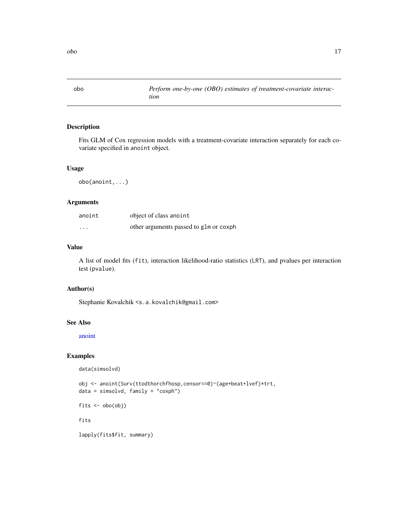<span id="page-16-1"></span><span id="page-16-0"></span>

Fits GLM of Cox regression models with a treatment-covariate interaction separately for each covariate specified in anoint object.

# Usage

obo(anoint,...)

# Arguments

| anoint   | object of class anoint                 |
|----------|----------------------------------------|
| $\cdots$ | other arguments passed to glm or coxph |

# Value

A list of model fits (fit), interaction likelihood-ratio statistics (LRT), and pvalues per interaction test (pvalue).

# Author(s)

Stephanie Kovalchik <s.a.kovalchik@gmail.com>

# See Also

[anoint](#page-2-1)

# Examples

data(simsolvd)

```
obj <- anoint(Surv(ttodthorchfhosp,censor==0)~(age+beat+lvef)*trt,
data = simsolvd, family = "coxph")
fits <- obo(obj)
fits
```
lapply(fits\$fit, summary)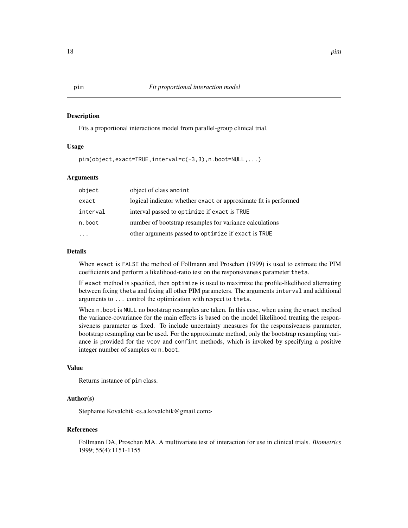<span id="page-17-1"></span><span id="page-17-0"></span>Fits a proportional interactions model from parallel-group clinical trial.

# Usage

pim(object,exact=TRUE,interval=c(-3,3),n.boot=NULL,...)

#### Arguments

| object   | object of class anoint                                          |
|----------|-----------------------------------------------------------------|
| exact    | logical indicator whether exact or approximate fit is performed |
| interval | interval passed to optimize if exact is TRUE                    |
| n.boot   | number of bootstrap resamples for variance calculations         |
|          | other arguments passed to optimize if exact is TRUE             |

#### Details

When exact is FALSE the method of Follmann and Proschan (1999) is used to estimate the PIM coefficients and perform a likelihood-ratio test on the responsiveness parameter theta.

If exact method is specified, then optimize is used to maximize the profile-likelihood alternating between fixing theta and fixing all other PIM parameters. The arguments interval and additional arguments to ... control the optimization with respect to theta.

When n.boot is NULL no bootstrap resamples are taken. In this case, when using the exact method the variance-covariance for the main effects is based on the model likelihood treating the responsiveness parameter as fixed. To include uncertainty measures for the responsiveness parameter, bootstrap resampling can be used. For the approximate method, only the bootstrap resampling variance is provided for the vcov and confint methods, which is invoked by specifying a positive integer number of samples or n.boot.

#### Value

Returns instance of pim class.

# Author(s)

Stephanie Kovalchik <s.a.kovalchik@gmail.com>

# References

Follmann DA, Proschan MA. A multivariate test of interaction for use in clinical trials. *Biometrics* 1999; 55(4):1151-1155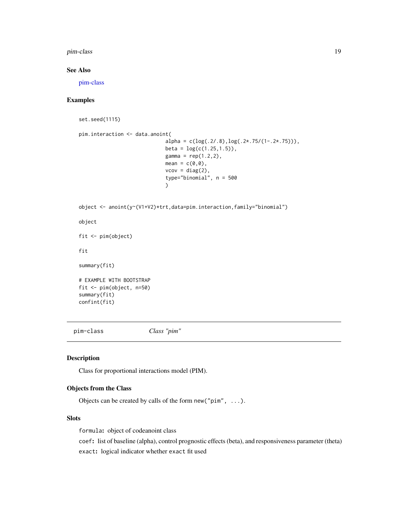#### <span id="page-18-0"></span>pim-class 2008 and 2008 and 2008 and 2008 and 2008 and 2008 and 2008 and 2008 and 2008 and 2008 and 2008 and 20

# See Also

[pim-class](#page-18-1)

# Examples

set.seed(1115)

```
pim.interaction <- data.anoint(
                             alpha = c(log(.2/.8), log(.2*.75/(1-.2*.75))),beta = log(c(1.25, 1.5)),gamma = rep(1.2, 2),mean = c(0,0),
                             vcov = diag(2),
                             type="binomial", n = 500
                             )
object <- anoint(y~(V1+V2)*trt,data=pim.interaction,family="binomial")
object
fit <- pim(object)
fit
summary(fit)
```

```
# EXAMPLE WITH BOOTSTRAP
fit <- pim(object, n=50)
summary(fit)
confint(fit)
```
<span id="page-18-1"></span>pim-class *Class "pim"*

#### Description

Class for proportional interactions model (PIM).

# Objects from the Class

Objects can be created by calls of the form new("pim", ...).

# Slots

formula: object of codeanoint class

coef: list of baseline (alpha), control prognostic effects (beta), and responsiveness parameter (theta) exact: logical indicator whether exact fit used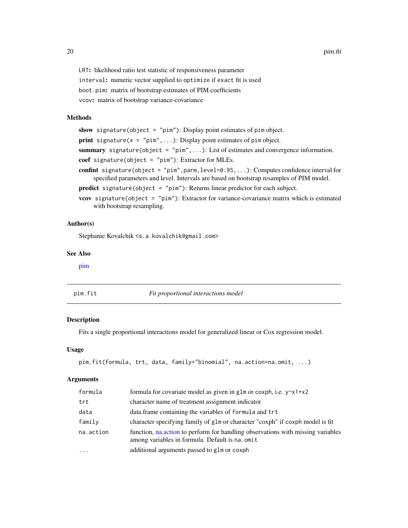<span id="page-19-0"></span>LRT: likelihood ratio test statistic of responsiveness parameter interval: numeric vector supplied to optimize if exact fit is used boot.pim: matrix of bootstrap estimates of PIM coefficients vcov: matrix of bootstrap variance-covariance

# Methods

show signature(object = "pim"): Display point estimates of pim object. **print** signature( $x = "pim", \ldots$ ): Display point estimates of pim object. summary signature(object = "pim", ...): List of estimates and convergence information. coef signature(object = "pim"): Extractor for MLEs. confint signature(object = "pim", parm, level=0.95, ...): Computes confidence interval for specified parameters and level. Intervals are based on bootstrap resamples of PIM model. predict signature(object = "pim"): Returns linear predictor for each subject. vcov signature(object = "pim"): Extractor for variance-covariance matrix which is estimated with bootstrap resampling.

# Author(s)

Stephanie Kovalchik <s.a.kovalchik@gmail.com>

#### See Also

[pim](#page-17-1)

pim.fit *Fit proportional interactions model*

#### Description

Fits a single proportional interactions model for generalized linear or Cox regression model.

#### Usage

```
pim.fit(formula, trt, data, family="binomial", na.action=na.omit, ...)
```
#### Arguments

| formula   | formula for covariate model as given in glm or coxph, i.e. $y^2 \times 1 + x^2$                                                   |
|-----------|-----------------------------------------------------------------------------------------------------------------------------------|
| trt       | character name of treatment assignment indicator                                                                                  |
| data      | data. frame containing the variables of formula and trt                                                                           |
| family    | character specifying family of glm or character "coxph" if coxph model is fit                                                     |
| na.action | function, natively to perform for handling observations with missing variables<br>among variables in formula. Default is na. omit |
| $\ddotsc$ | additional arguments passed to glm or coxph                                                                                       |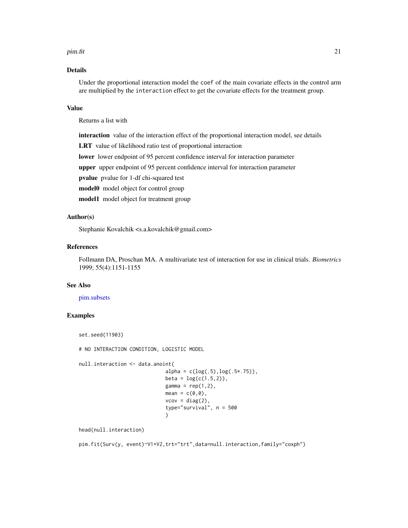#### <span id="page-20-0"></span>pim.fit 21

# Details

Under the proportional interaction model the coef of the main covariate effects in the control arm are multiplied by the interaction effect to get the covariate effects for the treatment group.

# Value

Returns a list with

interaction value of the interaction effect of the proportional interaction model, see details

LRT value of likelihood ratio test of proportional interaction

lower lower endpoint of 95 percent confidence interval for interaction parameter

upper upper endpoint of 95 percent confidence interval for interaction parameter

pvalue pvalue for 1-df chi-squared test

model0 model object for control group

model1 model object for treatment group

# Author(s)

Stephanie Kovalchik <s.a.kovalchik@gmail.com>

# References

Follmann DA, Proschan MA. A multivariate test of interaction for use in clinical trials. *Biometrics* 1999; 55(4):1151-1155

# See Also

#### [pim.subsets](#page-21-1)

# Examples

```
set.seed(11903)
```
# NO INTERACTION CONDITION, LOGISTIC MODEL

```
null.interaction <- data.anoint(
                             alpha = c(log(.5), log(.5*.75)),beta = log(c(1.5, 2)),gamma = rep(1,2),
                             mean = c(0,0),
                             vcov = diag(2),
                             type="survival", n = 500
                             )
```
head(null.interaction)

pim.fit(Surv(y, event)~V1+V2,trt="trt",data=null.interaction,family="coxph")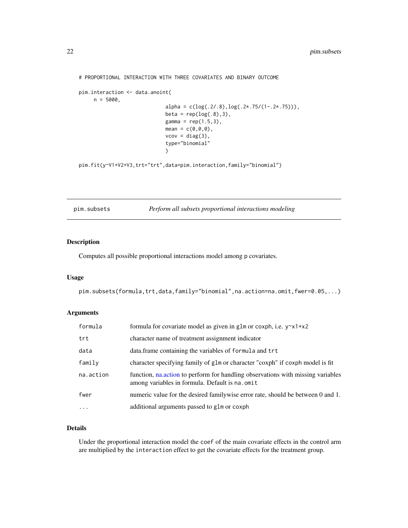```
# PROPORTIONAL INTERACTION WITH THREE COVARIATES AND BINARY OUTCOME
pim.interaction <- data.anoint(
    n = 5000,alpha = c(log(.2/.8), log(.2*.75/(1-.2*.75))),beta = rep(log(.8),3),
                             gamma = rep(1.5,3),mean = c(0, 0, 0),
                             vcov = diag(3),
                             type="binomial"
                             )
```
pim.fit(y~V1+V2+V3,trt="trt",data=pim.interaction,family="binomial")

<span id="page-21-1"></span>pim.subsets *Perform all subsets proportional interactions modeling*

# Description

Computes all possible proportional interactions model among p covariates.

#### Usage

pim.subsets(formula,trt,data,family="binomial",na.action=na.omit,fwer=0.05,...)

#### Arguments

| formula   | formula for covariate model as given in glm or coxph, i.e. $y^2 \times 1 + x^2$                                                   |
|-----------|-----------------------------------------------------------------------------------------------------------------------------------|
| trt       | character name of treatment assignment indicator                                                                                  |
| data      | data.frame containing the variables of formula and trt                                                                            |
| family    | character specifying family of glm or character "coxph" if coxph model is fit                                                     |
| na.action | function, natively to perform for handling observations with missing variables<br>among variables in formula. Default is na. omit |
| fwer      | numeric value for the desired familywise error rate, should be between 0 and 1.                                                   |
| $\cdots$  | additional arguments passed to glm or coxph                                                                                       |

# Details

Under the proportional interaction model the coef of the main covariate effects in the control arm are multiplied by the interaction effect to get the covariate effects for the treatment group.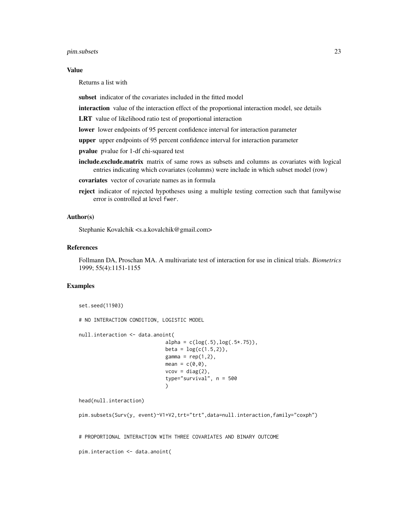pim.subsets 23

#### Value

Returns a list with

subset indicator of the covariates included in the fitted model

interaction value of the interaction effect of the proportional interaction model, see details

LRT value of likelihood ratio test of proportional interaction

lower lower endpoints of 95 percent confidence interval for interaction parameter

upper upper endpoints of 95 percent confidence interval for interaction parameter

pvalue pvalue for 1-df chi-squared test

- include.exclude.matrix matrix of same rows as subsets and columns as covariates with logical entries indicating which covariates (columns) were include in which subset model (row)
- covariates vector of covariate names as in formula
- reject indicator of rejected hypotheses using a multiple testing correction such that familywise error is controlled at level fwer.

# Author(s)

Stephanie Kovalchik <s.a.kovalchik@gmail.com>

#### References

Follmann DA, Proschan MA. A multivariate test of interaction for use in clinical trials. *Biometrics* 1999; 55(4):1151-1155

### Examples

set.seed(11903) # NO INTERACTION CONDITION, LOGISTIC MODEL null.interaction <- data.anoint(  $alpha = c(log(.5), log(.5*.75)),$  $beta = log(c(1.5, 2)),$ gamma =  $rep(1,2)$ , mean =  $c(\theta, \theta)$ ,  $vcov = diag(2)$ , type="survival", n = 500 ) head(null.interaction)

```
pim.subsets(Surv(y, event)~V1+V2,trt="trt",data=null.interaction,family="coxph")
```
# PROPORTIONAL INTERACTION WITH THREE COVARIATES AND BINARY OUTCOME

pim.interaction <- data.anoint(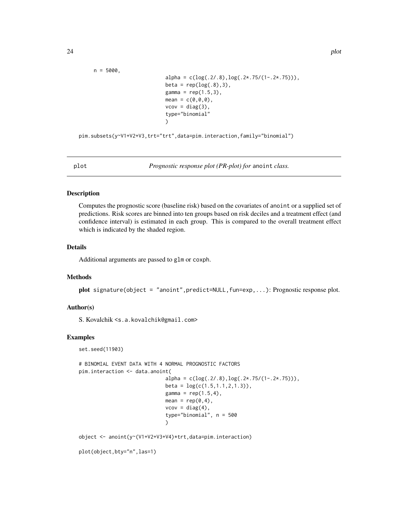```
n = 5000,alpha = c(log(.2/.8), log(.2*.75/(1-.2*.75))),beta = rep(log(.8),3),
                        gamma = rep(1.5,3),mean = c(0, 0, 0),
                        vcov = diag(3),
                        type="binomial"
                        )
```
pim.subsets(y~V1+V2+V3,trt="trt",data=pim.interaction,family="binomial")

plot *Prognostic response plot (PR-plot) for* anoint *class.*

# Description

Computes the prognostic score (baseline risk) based on the covariates of anoint or a supplied set of predictions. Risk scores are binned into ten groups based on risk deciles and a treatment effect (and confidence interval) is estimated in each group. This is compared to the overall treatment effect which is indicated by the shaded region.

# Details

Additional arguments are passed to glm or coxph.

#### Methods

plot signature(object = "anoint",predict=NULL,fun=exp,...): Prognostic response plot.

#### Author(s)

S. Kovalchik <s.a.kovalchik@gmail.com>

#### Examples

set.seed(11903)

```
# BINOMIAL EVENT DATA WITH 4 NORMAL PROGNOSTIC FACTORS
pim.interaction <- data.anoint(
                             alpha = c(log(.2/.8), log(.2*.75/(1-.2*.75))),beta = log(c(1.5, 1.1, 2, 1.3)),
                             gamma = rep(1.5, 4),mean = rep(0, 4),vcov = diag(4),
                             type="binomial", n = 500
                             )
object <- anoint(y~(V1+V2+V3+V4)*trt,data=pim.interaction)
```
plot(object,bty="n",las=1)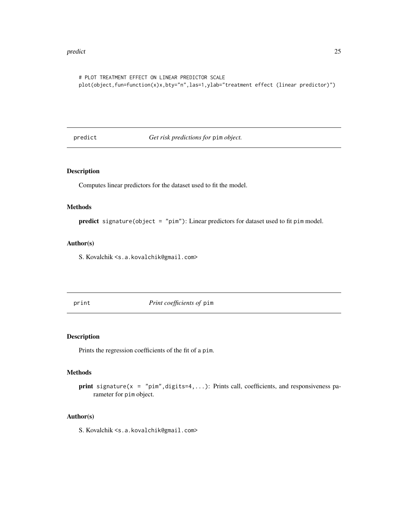#### <span id="page-24-0"></span>predict 25

```
# PLOT TREATMENT EFFECT ON LINEAR PREDICTOR SCALE
plot(object,fun=function(x)x,bty="n",las=1,ylab="treatment effect (linear predictor)")
```
predict *Get risk predictions for* pim *object.*

# Description

Computes linear predictors for the dataset used to fit the model.

# Methods

predict signature(object = "pim"): Linear predictors for dataset used to fit pim model.

# Author(s)

S. Kovalchik <s.a.kovalchik@gmail.com>

print *Print coefficients of* pim

#### Description

Prints the regression coefficients of the fit of a pim.

# Methods

```
print signature(x = "pim", digits=4,...): Prints call, coefficients, and responsiveness pa-
    rameter for pim object.
```
# Author(s)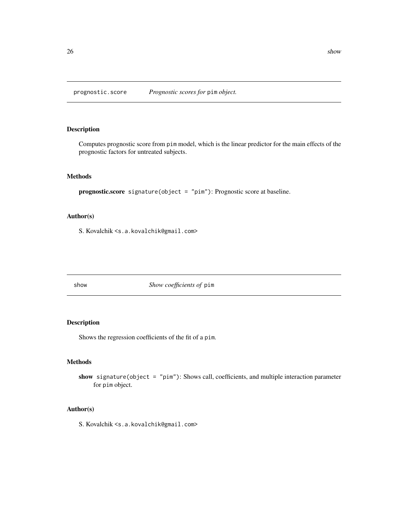<span id="page-25-0"></span>prognostic.score *Prognostic scores for* pim *object.*

# Description

Computes prognostic score from pim model, which is the linear predictor for the main effects of the prognostic factors for untreated subjects.

# Methods

```
prognostic.score signature(object = "pim"): Prognostic score at baseline.
```
# Author(s)

S. Kovalchik <s.a.kovalchik@gmail.com>

show *Show coefficients of* pim

# Description

Shows the regression coefficients of the fit of a pim.

# Methods

show signature(object = "pim"): Shows call, coefficients, and multiple interaction parameter for pim object.

# Author(s)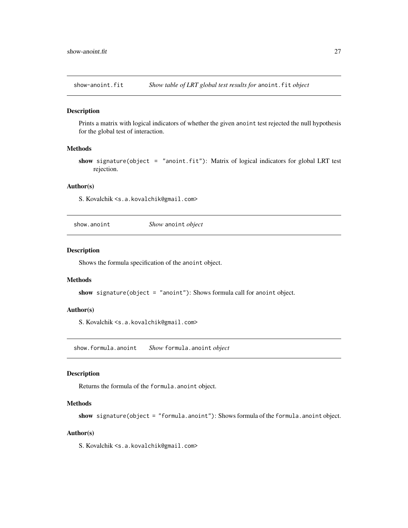<span id="page-26-0"></span>show-anoint.fit *Show table of LRT global test results for* anoint.fit *object*

#### Description

Prints a matrix with logical indicators of whether the given anoint test rejected the null hypothesis for the global test of interaction.

# Methods

show signature(object = "anoint.fit"): Matrix of logical indicators for global LRT test rejection.

#### Author(s)

S. Kovalchik <s.a.kovalchik@gmail.com>

show.anoint *Show* anoint *object*

# Description

Shows the formula specification of the anoint object.

# **Methods**

show signature(object = "anoint"): Shows formula call for anoint object.

#### Author(s)

S. Kovalchik <s.a.kovalchik@gmail.com>

show.formula.anoint *Show* formula.anoint *object*

# Description

Returns the formula of the formula.anoint object.

# Methods

show signature(object = "formula.anoint"): Shows formula of the formula.anoint object.

# Author(s)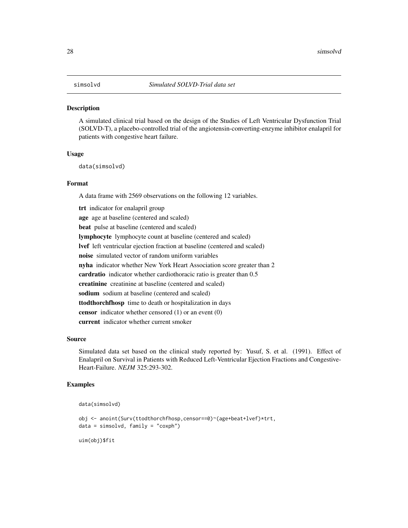<span id="page-27-0"></span>

A simulated clinical trial based on the design of the Studies of Left Ventricular Dysfunction Trial (SOLVD-T), a placebo-controlled trial of the angiotensin-converting-enzyme inhibitor enalapril for patients with congestive heart failure.

# Usage

data(simsolvd)

# Format

A data frame with 2569 observations on the following 12 variables.

trt indicator for enalapril group age age at baseline (centered and scaled) beat pulse at baseline (centered and scaled) lymphocyte lymphocyte count at baseline (centered and scaled) lvef left ventricular ejection fraction at baseline (centered and scaled) noise simulated vector of random uniform variables nyha indicator whether New York Heart Association score greater than 2 cardratio indicator whether cardiothoracic ratio is greater than 0.5 creatinine creatinine at baseline (centered and scaled) sodium sodium at baseline (centered and scaled) ttodthorchfhosp time to death or hospitalization in days censor indicator whether censored (1) or an event (0) current indicator whether current smoker

#### Source

Simulated data set based on the clinical study reported by: Yusuf, S. et al. (1991). Effect of Enalapril on Survival in Patients with Reduced Left-Ventricular Ejection Fractions and Congestive-Heart-Failure. *NEJM* 325:293-302.

# Examples

```
data(simsolvd)
```

```
obj <- anoint(Surv(ttodthorchfhosp,censor==0)~(age+beat+lvef)*trt,
data = simsolvd, family = "coxph")
```
uim(obj)\$fit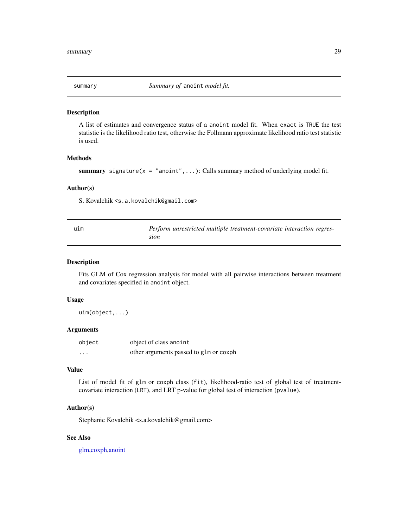<span id="page-28-0"></span>

A list of estimates and convergence status of a anoint model fit. When exact is TRUE the test statistic is the likelihood ratio test, otherwise the Follmann approximate likelihood ratio test statistic is used.

# Methods

summary signature( $x = "anoint", \ldots$ ): Calls summary method of underlying model fit.

#### Author(s)

S. Kovalchik <s.a.kovalchik@gmail.com>

<span id="page-28-1"></span>

| uım | Perform unrestricted multiple treatment-covariate interaction regres- |
|-----|-----------------------------------------------------------------------|
|     | sion                                                                  |

#### Description

Fits GLM of Cox regression analysis for model with all pairwise interactions between treatment and covariates specified in anoint object.

#### Usage

uim(object,...)

# Arguments

| object   | object of class anoint                 |
|----------|----------------------------------------|
| $\cdots$ | other arguments passed to glm or coxph |

# Value

List of model fit of glm or coxph class (fit), likelihood-ratio test of global test of treatmentcovariate interaction (LRT), and LRT p-value for global test of interaction (pvalue).

# Author(s)

Stephanie Kovalchik <s.a.kovalchik@gmail.com>

# See Also

[glm,coxph,](#page-0-0)[anoint](#page-2-1)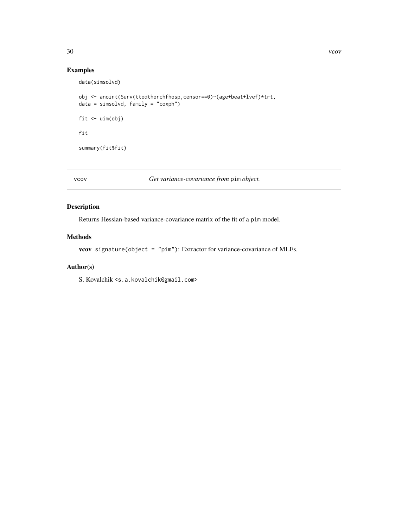# Examples

```
data(simsolvd)
```

```
obj <- anoint(Surv(ttodthorchfhosp,censor==0)~(age+beat+lvef)*trt,
data = simsolvd, family = "coxph")
fit <- uim(obj)
fit
summary(fit$fit)
```
vcov *Get variance-covariance from* pim *object.*

# Description

Returns Hessian-based variance-covariance matrix of the fit of a pim model.

# Methods

vcov signature(object = "pim"): Extractor for variance-covariance of MLEs.

# Author(s)

<span id="page-29-0"></span>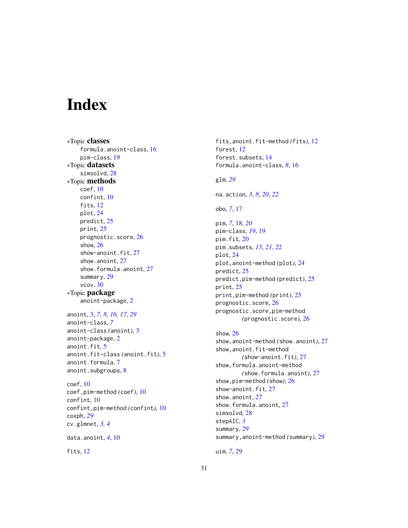# <span id="page-30-0"></span>Index

∗Topic classes formula.anoint-class, [16](#page-15-0) pim-class, [19](#page-18-0) ∗Topic datasets simsolvd, [28](#page-27-0) ∗Topic methods coef, [10](#page-9-0) confint, [10](#page-9-0) fits, [12](#page-11-0) plot, [24](#page-23-0) predict, [25](#page-24-0) print, [25](#page-24-0) prognostic.score, [26](#page-25-0) show, [26](#page-25-0) show-anoint.fit, [27](#page-26-0) show.anoint, [27](#page-26-0) show.formula.anoint, [27](#page-26-0) summary, [29](#page-28-0) vcov, [30](#page-29-0) ∗Topic package anoint-package, [2](#page-1-0) anoint, [3,](#page-2-0) *[7,](#page-6-0) [8](#page-7-0)*, *[16,](#page-15-0) [17](#page-16-0)*, *[29](#page-28-0)* anoint-class, *[7](#page-6-0)* anoint-class *(*anoint*)*, [3](#page-2-0) anoint-package, [2](#page-1-0) anoint.fit, [5](#page-4-0) anoint.fit-class *(*anoint.fit*)*, [5](#page-4-0) anoint.formula, [7](#page-6-0) anoint.subgroups, [8](#page-7-0) coef, [10](#page-9-0) coef,pim-method *(*coef*)*, [10](#page-9-0) confint, [10](#page-9-0) confint,pim-method *(*confint*)*, [10](#page-9-0) coxph, *[29](#page-28-0)* cv.glmnet, *[3,](#page-2-0) [4](#page-3-0)* data.anoint, *[4](#page-3-0)*, [10](#page-9-0) fits, [12](#page-11-0)

fits,anoint.fit-method *(*fits*)*, [12](#page-11-0) forest, [12](#page-11-0) forest.subsets, [14](#page-13-0) formula.anoint-class, *[8](#page-7-0)*, [16](#page-15-0) glm, *[29](#page-28-0)* na.action, *[3](#page-2-0)*, *[8](#page-7-0)*, *[20](#page-19-0)*, *[22](#page-21-0)* obo, *[7](#page-6-0)*, [17](#page-16-0) pim, *[7](#page-6-0)*, [18,](#page-17-0) *[20](#page-19-0)* pim-class, *[19](#page-18-0)*, [19](#page-18-0) pim.fit, [20](#page-19-0) pim.subsets, *[15](#page-14-0)*, *[21](#page-20-0)*, [22](#page-21-0) plot, [24](#page-23-0) plot,anoint-method *(*plot*)*, [24](#page-23-0) predict, [25](#page-24-0) predict,pim-method *(*predict*)*, [25](#page-24-0) print, [25](#page-24-0) print,pim-method *(*print*)*, [25](#page-24-0) prognostic.score, [26](#page-25-0) prognostic.score,pim-method *(*prognostic.score*)*, [26](#page-25-0) show, [26](#page-25-0) show,anoint-method *(*show.anoint*)*, [27](#page-26-0) show,anoint.fit-method *(*show-anoint.fit*)*, [27](#page-26-0) show,formula.anoint-method *(*show.formula.anoint*)*, [27](#page-26-0) show,pim-method *(*show*)*, [26](#page-25-0) show-anoint.fit, [27](#page-26-0) show.anoint, [27](#page-26-0) show.formula.anoint, [27](#page-26-0) simsolvd, [28](#page-27-0) stepAIC, *[3](#page-2-0)* summary, [29](#page-28-0) summary,anoint-method *(*summary*)*, [29](#page-28-0)

uim, *[7](#page-6-0)*, [29](#page-28-0)